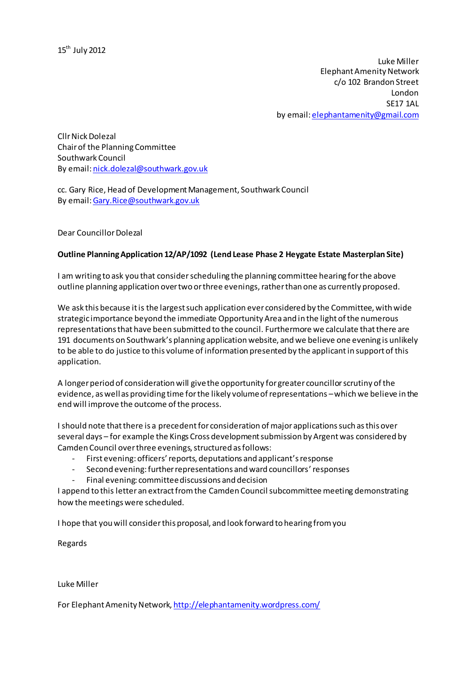Luke Miller Elephant Amenity Network c/o 102 Brandon Street London SE17 1AL by email: [elephantamenity@gmail.com](mailto:elephantamenity@gmail.com)

Cllr Nick Dolezal Chairof the Planning Committee Southwark Council By email: [nick.dolezal@southwark.gov.uk](mailto:nick.dolezal@southwark.gov.uk)

cc. Gary Rice, Head of Development Management, Southwark Council By email[: Gary.Rice@southwark.gov.uk](mailto:Gary.Rice@southwark.gov.uk)

Dear Councillor Dolezal

### **Outline Planning Application 12/AP/1092 (Lend Lease Phase 2 Heygate Estate Masterplan Site)**

I am writing to ask you that consider scheduling the planning committee hearing for the above outline planning application over two or three evenings, rather than one as currently proposed.

We ask this because it is the largest such application ever considered by the Committee, with wide strategic importance beyond the immediate Opportunity Area and in the light of the numerous representations that have been submitted to the council. Furthermore we calculate that there are 191 documents on Southwark's planning application website, and we believe one evening is unlikely to be able to do justice to this volume of information presented by the applicant in support of this application.

A longer period of consideration will give the opportunity for greater councillor scrutiny of the evidence, as well as providing time for the likely volume of representations –which we believe in the end will improve the outcome of the process.

I should note thatthere is a precedent for consideration of major applications such as this over several days – for example the Kings Cross development submission by Argent was considered by Camden Council over three evenings, structured as follows:

- First evening: officers' reports, deputations and applicant's response
- Second evening: further representations and ward councillors' responses
- Final evening: committee discussions and decision

I append to this letter an extract from the Camden Council subcommittee meeting demonstrating how the meetings were scheduled.

I hope that you will considerthis proposal, and look forward to hearing from you

Regards

#### Luke Miller

For Elephant Amenity Network, <http://elephantamenity.wordpress.com/>